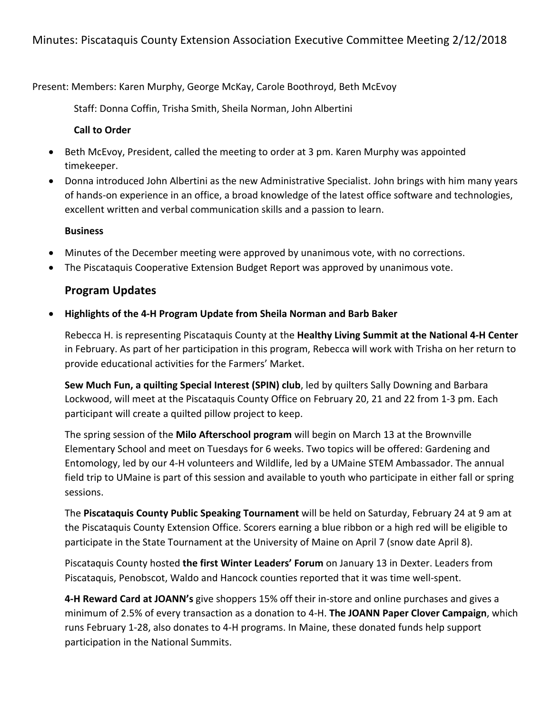Present: Members: Karen Murphy, George McKay, Carole Boothroyd, Beth McEvoy

Staff: Donna Coffin, Trisha Smith, Sheila Norman, John Albertini

### **Call to Order**

- Beth McEvoy, President, called the meeting to order at 3 pm. Karen Murphy was appointed timekeeper.
- Donna introduced John Albertini as the new Administrative Specialist. John brings with him many years of hands-on experience in an office, a broad knowledge of the latest office software and technologies, excellent written and verbal communication skills and a passion to learn.

## **Business**

- Minutes of the December meeting were approved by unanimous vote, with no corrections.
- The Piscataquis Cooperative Extension Budget Report was approved by unanimous vote.

# **Program Updates**

• Highlights of the 4-H Program Update from Sheila Norman and Barb Baker

Rebecca H. is representing Piscataquis County at the **Healthy Living Summit at the National 4-H Center** in February. As part of her participation in this program, Rebecca will work with Trisha on her return to provide educational activities for the Farmers' Market.

**Sew Much Fun, a quilting Special Interest (SPIN) club, led by quilters Sally Downing and Barbara** Lockwood, will meet at the Piscataquis County Office on February 20, 21 and 22 from 1-3 pm. Each participant will create a quilted pillow project to keep.

The spring session of the **Milo Afterschool program** will begin on March 13 at the Brownville Elementary School and meet on Tuesdays for 6 weeks. Two topics will be offered: Gardening and Entomology, led by our 4-H volunteers and Wildlife, led by a UMaine STEM Ambassador. The annual field trip to UMaine is part of this session and available to youth who participate in either fall or spring sessions.

The Piscataquis County Public Speaking Tournament will be held on Saturday, February 24 at 9 am at the Piscataquis County Extension Office. Scorers earning a blue ribbon or a high red will be eligible to participate in the State Tournament at the University of Maine on April 7 (snow date April 8).

Piscataquis County hosted **the first Winter Leaders' Forum** on January 13 in Dexter. Leaders from Piscataquis, Penobscot, Waldo and Hancock counties reported that it was time well-spent.

**4-H Reward Card at JOANN's** give shoppers 15% off their in-store and online purchases and gives a minimum of 2.5% of every transaction as a donation to 4-H. **The JOANN Paper Clover Campaign**, which runs February 1-28, also donates to 4-H programs. In Maine, these donated funds help support participation in the National Summits.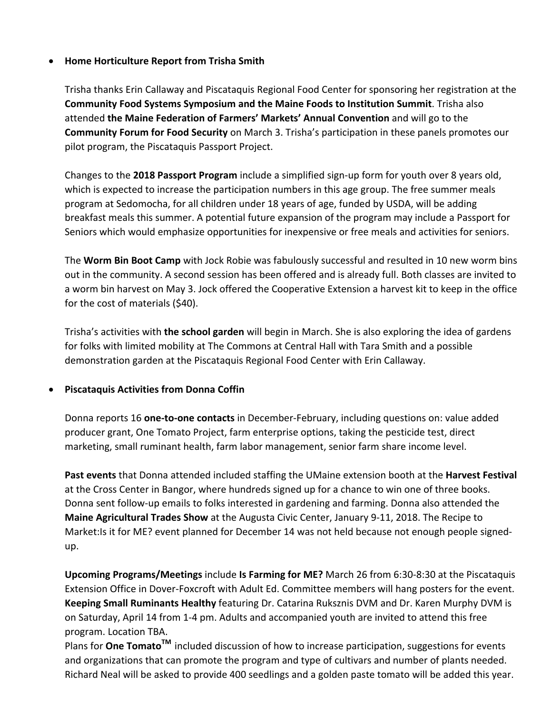### **Home Horticulture Report from Trisha Smith**

Trisha thanks Erin Callaway and Piscataquis Regional Food Center for sponsoring her registration at the **Community Food Systems Symposium and the Maine Foods to Institution Summit**. Trisha also attended **the Maine Federation of Farmers' Markets' Annual Convention** and will go to the **Community Forum for Food Security** on March 3. Trisha's participation in these panels promotes our pilot program, the Piscataquis Passport Project.

Changes to the **2018 Passport Program** include a simplified sign-up form for youth over 8 years old, which is expected to increase the participation numbers in this age group. The free summer meals program at Sedomocha, for all children under 18 years of age, funded by USDA, will be adding breakfast meals this summer. A potential future expansion of the program may include a Passport for Seniors which would emphasize opportunities for inexpensive or free meals and activities for seniors.

The **Worm Bin Boot Camp** with Jock Robie was fabulously successful and resulted in 10 new worm bins out in the community. A second session has been offered and is already full. Both classes are invited to a worm bin harvest on May 3. Jock offered the Cooperative Extension a harvest kit to keep in the office for the cost of materials (\$40).

Trisha's activities with **the school garden** will begin in March. She is also exploring the idea of gardens for folks with limited mobility at The Commons at Central Hall with Tara Smith and a possible demonstration garden at the Piscataquis Regional Food Center with Erin Callaway.

### **Piscataquis Activities from Donna Coffin**

Donna reports 16 **one-to-one contacts** in December-February, including questions on: value added producer grant, One Tomato Project, farm enterprise options, taking the pesticide test, direct marketing, small ruminant health, farm labor management, senior farm share income level.

**Past events** that Donna attended included staffing the UMaine extension booth at the **Harvest Festival** at the Cross Center in Bangor, where hundreds signed up for a chance to win one of three books. Donna sent follow-up emails to folks interested in gardening and farming. Donna also attended the **Maine Agricultural Trades Show** at the Augusta Civic Center, January 9-11, 2018. The Recipe to Market: Is it for ME? event planned for December 14 was not held because not enough people signedup.

Upcoming Programs/Meetings include Is Farming for ME? March 26 from 6:30-8:30 at the Piscataquis Extension Office in Dover-Foxcroft with Adult Ed. Committee members will hang posters for the event. **Keeping Small Ruminants Healthy** featuring Dr. Catarina Ruksznis DVM and Dr. Karen Murphy DVM is on Saturday, April 14 from 1-4 pm. Adults and accompanied youth are invited to attend this free program. Location TBA.

Plans for **One Tomato<sup>TM</sup>** included discussion of how to increase participation, suggestions for events and organizations that can promote the program and type of cultivars and number of plants needed. Richard Neal will be asked to provide 400 seedlings and a golden paste tomato will be added this year.